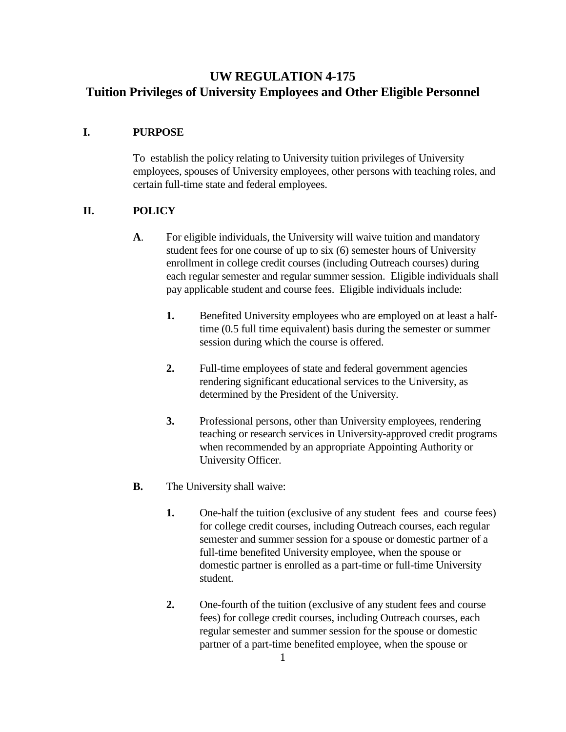# **UW REGULATION 4-175 Tuition Privileges of University Employees and Other Eligible Personnel**

#### **I. PURPOSE**

To establish the policy relating to University tuition privileges of University employees, spouses of University employees, other persons with teaching roles, and certain full-time state and federal employees.

### **II. POLICY**

- **A**. For eligible individuals, the University will waive tuition and mandatory student fees for one course of up to six (6) semester hours of University enrollment in college credit courses (including Outreach courses) during each regular semester and regular summer session. Eligible individuals shall pay applicable student and course fees. Eligible individuals include:
	- **1.** Benefited University employees who are employed on at least a halftime (0.5 full time equivalent) basis during the semester or summer session during which the course is offered.
	- **2.** Full-time employees of state and federal government agencies rendering significant educational services to the University, as determined by the President of the University.
	- **3.** Professional persons, other than University employees, rendering teaching or research services in University-approved credit programs when recommended by an appropriate Appointing Authority or University Officer.
- **B.** The University shall waive:
	- **1.** One-half the tuition (exclusive of any student fees and course fees) for college credit courses, including Outreach courses, each regular semester and summer session for a spouse or domestic partner of a full-time benefited University employee, when the spouse or domestic partner is enrolled as a part-time or full-time University student.
	- **2.** One-fourth of the tuition (exclusive of any student fees and course fees) for college credit courses, including Outreach courses, each regular semester and summer session for the spouse or domestic partner of a part-time benefited employee, when the spouse or